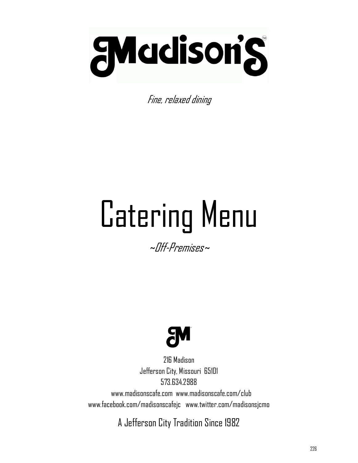

Fine, relaxed dining

# Catering Menu

~Off-Premises~



216 Madison Jefferson City, Missouri 65101 573.634.2988

 www.madisonscafe.com www.madisonscafe.com/club www.facebook.com/madisonscafejc www.twitter.com/madisonsjcmo

A Jefferson City Tradition Since 1982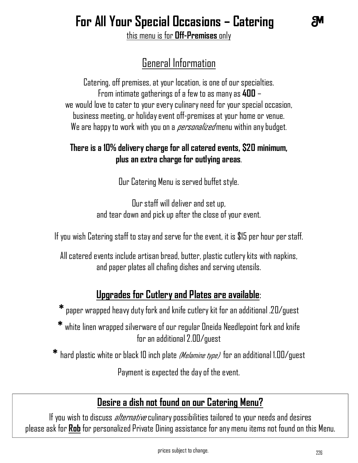## **For All Your Special Occasions – Catering**

this menu is for **Off-Premises** only

## General Information

Catering, off premises, at your location, is one of our specialties. From intimate gatherings of a few to as many as **400** – we would love to cater to your every culinary need for your special occasion, business meeting, or holiday event off-premises at your home or venue. We are happy to work with you on a *personalized* menu within any budget.

#### **There is a 10% delivery charge for all catered events, \$20 minimum, plus an extra charge for outlying areas**.

Our Catering Menu is served buffet style.

Our staff will deliver and set up, and tear down and pick up after the close of your event.

If you wish Catering staff to stay and serve for the event, it is \$15 per hour per staff.

All catered events include artisan bread, butter, plastic cutlery kits with napkins, and paper plates all chafing dishes and serving utensils.

### **Upgrades for Cutlery and Plates are available**:

**\*** paper wrapped heavy duty fork and knife cutlery kit for an additional .20/guest

**\*** white linen wrapped silverware of our regular Oneida Needlepoint fork and knife for an additional 2.00/guest

**\*** hard plastic white or black 10 inch plate (Melamine type) for an additional 1.00/guest

Payment is expected the day of the event.

## **Desire a dish not found on our Catering Menu?**

If you wish to discuss *alternative* culinary possibilities tailored to your needs and desires please ask for **Rob** for personalized Private Dining assistance for any menu items not found on this Menu.

ЯΜ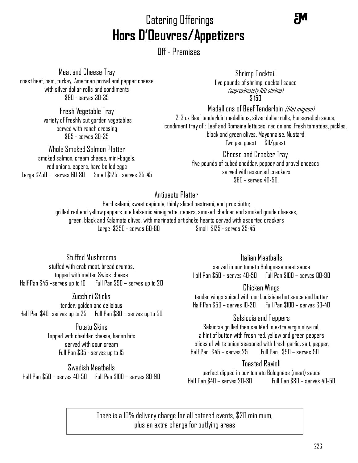## Catering Offerings **Hors D'Oeuvres/Appetizers**

Off - Premises

Meat and Cheese Tray roast beef, ham, turkey, American provel and pepper cheese with silver dollar rolls and condiments \$90 - serves 30-35

> Fresh Vegetable Tray variety of freshly cut garden vegetables served with ranch dressing \$65 - serves 30-35

Whole Smoked Salmon Platter smoked salmon, cream cheese, mini-bagels, red onions, capers, hard boiled eggs Large \$250 - serves 60-80 Small \$125 -serves 35-45

Shrimp Cocktail five pounds of shrimp, cocktail sauce (approximately 100 shrimp) \$ 150

Medallions of Beef Tenderloin *(filet mignon)* 2-3 oz Beef tenderloin medallions, silver dollar rolls, Horseradish sauce, condiment tray of : Leaf and Romaine lettuces, red onions, fresh tomatoes, pickles, black and green olives, Mayonnaise, Mustard Two per guest \$11/guest

> Cheese and Cracker Tray five pounds of cubed cheddar, pepper and provel cheeses served with assorted crackers  $$60 -$ serves  $40 - 50$

#### Antipasto Platter

Hard salami, sweet capicola, thinly sliced pastrami, and prosciutto; grilled red and yellow peppers in a balsamic vinaigrette, capers, smoked cheddar and smoked gouda cheeses, green, black and Kalamata olives, with marinated artichoke hearts served with assorted crackers Large \$250 - serves 60-80 Small \$125 -serves 35-45

Stuffed Mushrooms stuffed with crab meat, bread crumbs, topped with melted Swiss cheese Half Pan \$45 –serves up to 10 Full Pan \$90 – serves up to 20

Zucchini Sticks tender, golden and delicious Half Pan \$40- serves up to 25 Full Pan \$80 – serves up to 50

> Potato Skins Topped with cheddar cheese, bacon bits served with sour cream Full Pan \$35 - serves up to 15

Swedish Meatballs Half Pan \$50 – serves 40-50 Full Pan \$100 – serves 80-90 Italian Meatballs

served in our tomato Bolognese meat sauce Half Pan \$50 – serves 40-50 Full Pan \$100 – serves 80-90

Chicken Wings

tender wings spiced with our Louisiana hot sauce and butter Half Pan \$50 – serves 10-20 Full Pan \$100 – serves 30-40

#### Salsiccia and Peppers

Salsiccia grilled then sautéed in extra virgin olive oil, a hint of butter with fresh red, yellow and green peppers slices of white onion seasoned with fresh garlic, salt, pepper. Half Pan \$45 – serves 25 Full Pan \$90 – serves 50

#### Toasted Ravioli

perfect dipped in our tomato Bolognese (meat) sauce Half Pan \$40 – serves 20-30 Full Pan \$80 – serves 40-50

. plus an extra charge for outlying areas There is a 10% delivery charge for all catered events, \$20 minimum,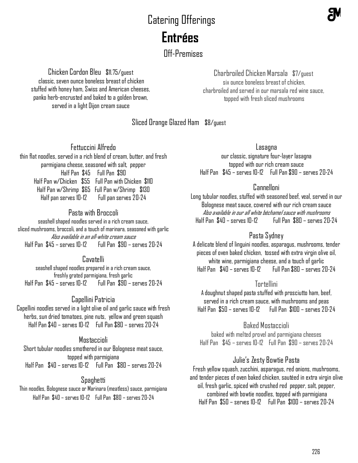## Catering Offerings  **Entrées**

Off-Premises

Chicken Cordon Bleu \$11.75/guest classic, seven ounce boneless breast of chicken stuffed with honey ham, Swiss and American cheeses, panko herb-encrusted and baked to a golden brown, served in a light Dijon cream sauce

#### Charbroiled Chicken Marsala \$7/guest six ounce boneless breast of chicken, charbroiled and served in our marsala red wine sauce, topped with fresh sliced mushrooms

#### Sliced Orange Glazed Ham \$8/guest

Fettuccini Alfredo

thin flat noodles, served in a rich blend of cream, butter, and fresh parmigiana cheese, seasoned with salt, pepper Half Pan \$45 Full Pan \$90 Half Pan w/Chicken \$55 Full Pan with Chicken \$110 Half Pan w/Shrimp \$65 Full Pan w/Shrimp \$130 Half pan serves 10-12 Full pan serves 20-24

#### Pasta with Broccoli

seashell shaped noodles served in a rich cream sauce, sliced mushrooms, broccoli, and a touch of marinara, seasoned with garlic Also available in an all-white cream sauce Half Pan \$45 – serves 10-12 Full Pan \$90 – serves 20-24

#### Cavatelli

seashell shaped noodles prepared in a rich cream sauce, freshly grated parmigiana, fresh garlic Half Pan \$45 – serves 10-12 Full Pan \$90 – serves 20-24

#### Capellini Patricia

Capellini noodles served in a light olive oil and garlic sauce with fresh herbs, sun dried tomatoes, pine nuts, yellow and green squash Half Pan \$40 – serves 10-12 Full Pan \$80 – serves 20-24

#### **Mostaccioli**

Short tubular noodles smothered in our Bolognese meat sauce, topped with parmigiana Half Pan \$40 – serves 10-12 Full Pan \$80 – serves 20-24

#### Spaghetti

Thin noodles, Bolognese sauce or Marinara (meatless) sauce, parmigiana Half Pan \$40 – serves 10-12 Full Pan \$80 – serves 20-24

#### Lasagna

our classic, signature four-layer lasagna topped with our rich cream sauce Half Pan \$45 – serves 10-12 Full Pan \$90 – serves 20-24

#### Cannelloni

Long tubular noodles, stuffed with seasoned beef, veal, served in our Bolognese meat sauce, covered with our rich cream sauce Also available in our all white béchamel sauce with mushrooms Half Pan \$40 – serves 10-12 Full Pan \$80 – serves 20-24

#### Pasta Sydney

A delicate blend of linguini noodles, asparagus, mushrooms, tender pieces of oven baked chicken, tossed with extra virgin olive oil, white wine, parmigiana cheese, and a touch of garlic Half Pan \$40 – serves 10-12 Full Pan \$80 – serves 20-24

#### Tortellini

A doughnut shaped pasta stuffed with prosciutto ham, beef, served in a rich cream sauce, with mushrooms and peas Half Pan \$50 – serves 10-12 Full Pan \$100 – serves 20-24

#### Baked Mostaccioli

baked with melted provel and parmigiana cheeses Half Pan \$45 – serves 10-12 Full Pan \$90 – serves 20-24

#### Julie's Zesty Bowtie Pasta

Fresh yellow squash, zucchini, asparagus, red onions, mushrooms, and tender pieces of oven baked chicken, sautéed in extra virgin olive oil, fresh garlic, spiced with crushed red pepper, salt, pepper, combined with bowtie noodles, topped with parmigiana Half Pan \$50 – serves 10-12 Full Pan \$100 – serves 20-24